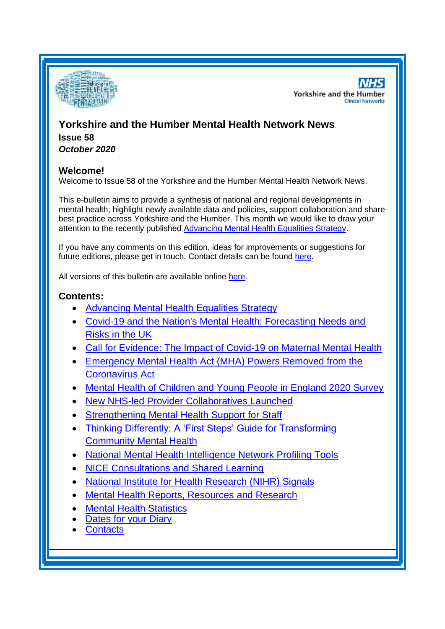

**NHS Yorkshire and the Humber Clinical Networks** 

## **Yorkshire and the Humber Mental Health Network News Issue 58** *October 2020*

## **Welcome!**

Welcome to Issue 58 of the Yorkshire and the Humber Mental Health Network News.

This e-bulletin aims to provide a synthesis of national and regional developments in mental health; highlight newly available data and policies, support collaboration and share best practice across Yorkshire and the Humber. This month we would like to draw your attention to the recently published [Advancing Mental Health Equalities Strategy.](#page-1-0)

If you have any comments on this edition, ideas for improvements or suggestions for future editions, please get in touch. Contact details can be found [here.](#page-9-0)

All versions of this bulletin are available online [here.](http://www.yhscn.nhs.uk/mental-health-clinic/mental-health-network/MH-documents-and-links.php)

### **Contents:**

- [Advancing Mental Health Equalities Strategy](#page-1-0)
- [Covid-19 and the Nation's Mental Health: Forecasting Needs and](#page-1-0)  [Risks in the UK](#page-1-0)
- [Call for Evidence: The Impact of Covid-19 on Maternal Mental Health](#page-1-1)
- [Emergency Mental Health Act \(MHA\) Powers Removed from the](#page-1-1)  [Coronavirus Act](#page-1-1)
- [Mental Health of Children and Young People in England 2020 Survey](#page-1-0)
- [New NHS-led Provider Collaboratives Launched](#page-3-0)
- [Strengthening Mental Health Support for Staff](#page-3-1)
- [Thinking Differently: A 'First Steps' Guide for Transforming](#page-3-1)  [Community Mental Health](#page-3-1)
- [National Mental Health Intelligence Network Profiling Tools](#page-1-2)
- [NICE Consultations and Shared Learning](#page-4-0)
- [National Institute for Health Research \(NIHR\) Signals](#page-4-1)
- [Mental Health Reports, Resources and](#page-4-2) Research
- [Mental Health Statistics](#page-7-0)
- [Dates for your Diary](#page-7-1)
- [Contacts](#page-9-0)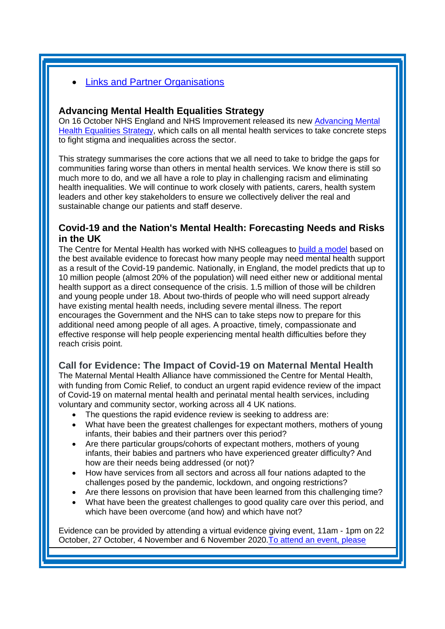## **Links and [Partner Organisations](#page-9-1)**

### <span id="page-1-2"></span><span id="page-1-0"></span>**Advancing Mental Health Equalities Strategy**

On 16 October NHS England and NHS Improvement released its new [Advancing Mental](https://www.england.nhs.uk/publication/advancing-mental-health-equalities-strategy/)  [Health Equalities Strategy,](https://www.england.nhs.uk/publication/advancing-mental-health-equalities-strategy/) which calls on all mental health services to take concrete steps to fight stigma and inequalities across the sector.

This strategy summarises the core actions that we all need to take to bridge the gaps for communities faring worse than others in mental health services. We know there is still so much more to do, and we all have a role to play in challenging racism and eliminating health inequalities. We will continue to work closely with patients, carers, health system leaders and other key stakeholders to ensure we collectively deliver the real and sustainable change our patients and staff deserve.

## **Covid-19 and the Nation's Mental Health: Forecasting Needs and Risks in the UK**

The Centre for Mental Health has worked with NHS colleagues to [build a model](https://www.centreformentalhealth.org.uk/sites/default/files/publication/download/CentreforMentalHealth_COVID_MH_Forecasting3_Oct20_0.pdf) based on the best available evidence to forecast how many people may need mental health support as a result of the Covid-19 pandemic. Nationally, in England, the model predicts that up to 10 million people (almost 20% of the population) will need either new or additional mental health support as a direct consequence of the crisis. 1.5 million of those will be children and young people under 18. About two-thirds of people who will need support already have existing mental health needs, including severe mental illness. The report encourages the Government and the NHS can to take steps now to prepare for this additional need among people of all ages. A proactive, timely, compassionate and effective response will help people experiencing mental health difficulties before they reach crisis point.

## <span id="page-1-1"></span>**Call for Evidence: The Impact of Covid-19 on Maternal Mental Health**

The Maternal Mental Health Alliance have commissioned the Centre for Mental Health, with funding from Comic Relief, to conduct an urgent rapid evidence review of the impact of Covid-19 on maternal mental health and perinatal mental health services, including voluntary and community sector, working across all 4 UK nations.

- The questions the rapid evidence review is seeking to address are:
- What have been the greatest challenges for expectant mothers, mothers of young infants, their babies and their partners over this period?
- Are there particular groups/cohorts of expectant mothers, mothers of young infants, their babies and partners who have experienced greater difficulty? And how are their needs being addressed (or not)?
- How have services from all sectors and across all four nations adapted to the challenges posed by the pandemic, lockdown, and ongoing restrictions?
- Are there lessons on provision that have been learned from this challenging time?
- What have been the greatest challenges to good quality care over this period, and which have been overcome (and how) and which have not?

Evidence can be provided by attending a virtual evidence giving event, 11am - 1pm on 22 October, 27 October, 4 November and 6 November 2020[.To attend an event, please](https://www.centreformentalhealth.org.uk/sites/default/files/mmha_event_application_final.docx)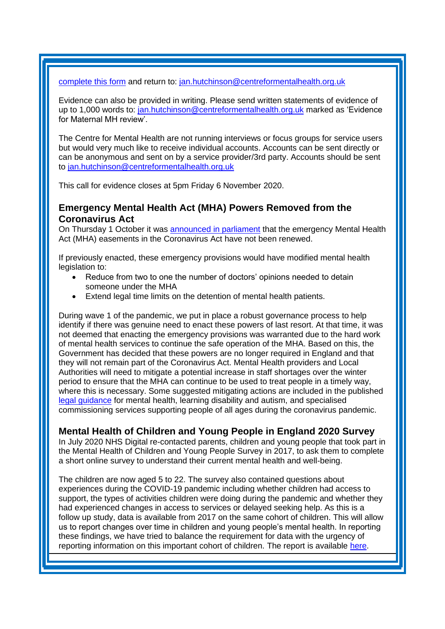[complete this form](https://www.centreformentalhealth.org.uk/sites/default/files/mmha_event_application_final.docx) and return to: [jan.hutchinson@centreformentalhealth.org.uk](mailto:jan.hutchinson@centreformentalhealth.org.uk)

Evidence can also be provided in writing. Please send written statements of evidence of up to 1,000 words to: [jan.hutchinson@centreformentalhealth.org.uk](mailto:jan.hutchinson@centreformentalhealth.org.uk) marked as 'Evidence for Maternal MH review'.

The Centre for Mental Health are not running interviews or focus groups for service users but would very much like to receive individual accounts. Accounts can be sent directly or can be anonymous and sent on by a service provider/3rd party. Accounts should be sent to [jan.hutchinson@centreformentalhealth.org.uk](mailto:jan.hutchinson@centreformentalhealth.org.uk)

This call for evidence closes at 5pm Friday 6 November 2020.

### **Emergency Mental Health Act (MHA) Powers Removed from the Coronavirus Act**

On Thursday 1 October it was [announced in parliament](https://hansard.parliament.uk/Commons/2020-09-30/debates/AAB1B147-2F78-4F41-ADE6-F1E50B3F3ECB/CoronavirusAct2020(ReviewOfTemporaryProvisions)) that the emergency Mental Health Act (MHA) easements in the Coronavirus Act have not been renewed.

If previously enacted, these emergency provisions would have modified mental health legislation to:

- Reduce from two to one the number of doctors' opinions needed to detain someone under the MHA
- Extend legal time limits on the detention of mental health patients.

During wave 1 of the pandemic, we put in place a robust governance process to help identify if there was genuine need to enact these powers of last resort. At that time, it was not deemed that enacting the emergency provisions was warranted due to the hard work of mental health services to continue the safe operation of the MHA. Based on this, the Government has decided that these powers are no longer required in England and that they will not remain part of the Coronavirus Act. Mental Health providers and Local Authorities will need to mitigate a potential increase in staff shortages over the winter period to ensure that the MHA can continue to be used to treat people in a timely way, where this is necessary. Some suggested mitigating actions are included in the published [legal guidance](https://www.england.nhs.uk/coronavirus/wp-content/uploads/sites/52/2020/03/C0454-mhlda-spec-comm-legal-guidance-v2-19-may.pdf) for mental health, learning disability and autism, and specialised commissioning services supporting people of all ages during the coronavirus pandemic.

## **Mental Health of Children and Young People in England 2020 Survey**

In July 2020 NHS Digital re-contacted parents, children and young people that took part in the Mental Health of Children and Young People Survey in 2017, to ask them to complete a short online survey to understand their current mental health and well-being.

The children are now aged 5 to 22. The survey also contained questions about experiences during the COVID-19 pandemic including whether children had access to support, the types of activities children were doing during the pandemic and whether they had experienced changes in access to services or delayed seeking help. As this is a follow up study, data is available from 2017 on the same cohort of children. This will allow us to report changes over time in children and young people's mental health. In reporting these findings, we have tried to balance the requirement for data with the urgency of reporting information on this important cohort of children. The report is available [here.](https://digital.nhs.uk/data-and-information/publications/statistical/mental-health-of-children-and-young-people-in-england/2020-wave-1-follow-up)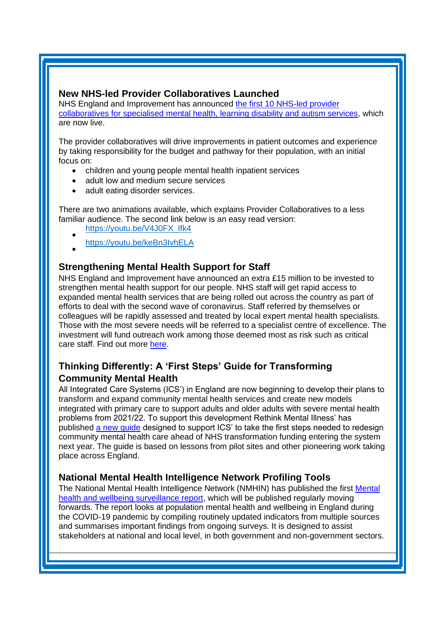### <span id="page-3-0"></span>**New NHS-led Provider Collaboratives Launched**

NHS England and Improvement has announced [the first 10 NHS-led provider](https://www.england.nhs.uk/mental-health/nhs-led-provider-collaboratives/)  [collaboratives for specialised mental health, learning disability and autism services,](https://www.england.nhs.uk/mental-health/nhs-led-provider-collaboratives/) which are now live.

The provider collaboratives will drive improvements in patient outcomes and experience by taking responsibility for the budget and pathway for their population, with an initial focus on:

- children and young people mental health inpatient services
- adult low and medium secure services
- adult eating disorder services.

There are two animations available, which explains Provider Collaboratives to a less familiar audience. The second link below is an easy read version:

- [https://youtu.be/V4J0FX\\_Ifk4](https://mhlda.cmail19.com/t/d-l-ctuuyyk-tlljkuijii-c/)
- • [https://youtu.be/keBn3IvhELA](https://mhlda.cmail19.com/t/d-l-ctuuyyk-tlljkuijii-q/)

# <span id="page-3-1"></span>**Strengthening Mental Health Support for Staff**

NHS England and Improvement have announced an extra £15 million to be invested to strengthen mental health support for our people. NHS staff will get rapid access to expanded mental health services that are being rolled out across the country as part of efforts to deal with the second wave of coronavirus. Staff referred by themselves or colleagues will be rapidly assessed and treated by local expert mental health specialists. Those with the most severe needs will be referred to a specialist centre of excellence. The investment will fund outreach work among those deemed most as risk such as critical care staff. Find out more [here.](https://www.england.nhs.uk/2020/10/strengthening-mental-health-support-for-staff/)

# **Thinking Differently: A 'First Steps' Guide for Transforming Community Mental Health**

All Integrated Care Systems (ICS') in England are now beginning to develop their plans to transform and expand community mental health services and create new models integrated with primary care to support adults and older adults with severe mental health problems from 2021/22. To support this development Rethink Mental Illness' has published [a new guide](https://www.rethink.org/aboutus/what-we-do/mental-health-service-provider/rethink-mental-illness-stp-guide/) designed to support ICS' to take the first steps needed to redesign community mental health care ahead of NHS transformation funding entering the system next year. The guide is based on lessons from pilot sites and other pioneering work taking place across England.

## **National Mental Health Intelligence Network Profiling Tools**

The National Mental Health Intelligence Network (NMHIN) has published the first [Mental](https://eur01.safelinks.protection.outlook.com/?url=https%3A%2F%2Flnks.gd%2Fl%2FeyJhbGciOiJIUzI1NiJ9.eyJidWxsZXRpbl9saW5rX2lkIjoxMTMsInVyaSI6ImJwMjpjbGljayIsImJ1bGxldGluX2lkIjoiMjAyMDA5MDkuMjY4MDAxNDEiLCJ1cmwiOiJodHRwczovL2V1cjAxLnNhZmVsaW5rcy5wcm90ZWN0aW9uLm91dGxvb2suY29tLz91cmw9aHR0cHMlM0ElMkYlMkZ3d3cuZ292LnVrJTJGZ292ZXJubWVudCUyRnB1YmxpY2F0aW9ucyUyRmNvdmlkLTE5LW1lbnRhbC1oZWFsdGgtYW5kLXdlbGxiZWluZy1zdXJ2ZWlsbGFuY2UtcmVwb3J0JmRhdGE9MDIlN0MwMSU3Q1NhbS5QYXJyeSU0MHBoZS5nb3YudWslN0M1ZGRiYjBlMjA3NjI0NzljOTAzMDA4ZDg1NDkxZDg2OCU3Q2VlNGUxNDk5NGEzNTRiMmVhZDQ3NWYzY2Y5ZGU4NjY2JTdDMCU3QzAlN0M2MzczNTIzMzI2NTYzMTQzMzUmc2RhdGE9VlFwSEJxYzF0V1liM0s2MUdyMWVhV09sV0xKd2JXNU5xZmFYVEhvOWlHOCUzRCZyZXNlcnZlZD0wIn0.HkT7XVflzaX5zEgpWFjVtn1nbGBKudz143WXHiekiTY%2Fs%2F515256893%2Fbr%2F83376721890-l&data=02%7C01%7CSue.Foster%40phe.gov.uk%7Cf9fc28a2be4744c3be0808d854c26711%7Cee4e14994a354b2ead475f3cf9de8666%7C0%7C0%7C637352542584997243&sdata=6NzyYIm4IrijYJ31Pw1GU2Zq95r%2BpDvfjCtDw3yLjGg%3D&reserved=0)  [health and wellbeing surveillance report,](https://eur01.safelinks.protection.outlook.com/?url=https%3A%2F%2Flnks.gd%2Fl%2FeyJhbGciOiJIUzI1NiJ9.eyJidWxsZXRpbl9saW5rX2lkIjoxMTMsInVyaSI6ImJwMjpjbGljayIsImJ1bGxldGluX2lkIjoiMjAyMDA5MDkuMjY4MDAxNDEiLCJ1cmwiOiJodHRwczovL2V1cjAxLnNhZmVsaW5rcy5wcm90ZWN0aW9uLm91dGxvb2suY29tLz91cmw9aHR0cHMlM0ElMkYlMkZ3d3cuZ292LnVrJTJGZ292ZXJubWVudCUyRnB1YmxpY2F0aW9ucyUyRmNvdmlkLTE5LW1lbnRhbC1oZWFsdGgtYW5kLXdlbGxiZWluZy1zdXJ2ZWlsbGFuY2UtcmVwb3J0JmRhdGE9MDIlN0MwMSU3Q1NhbS5QYXJyeSU0MHBoZS5nb3YudWslN0M1ZGRiYjBlMjA3NjI0NzljOTAzMDA4ZDg1NDkxZDg2OCU3Q2VlNGUxNDk5NGEzNTRiMmVhZDQ3NWYzY2Y5ZGU4NjY2JTdDMCU3QzAlN0M2MzczNTIzMzI2NTYzMTQzMzUmc2RhdGE9VlFwSEJxYzF0V1liM0s2MUdyMWVhV09sV0xKd2JXNU5xZmFYVEhvOWlHOCUzRCZyZXNlcnZlZD0wIn0.HkT7XVflzaX5zEgpWFjVtn1nbGBKudz143WXHiekiTY%2Fs%2F515256893%2Fbr%2F83376721890-l&data=02%7C01%7CSue.Foster%40phe.gov.uk%7Cf9fc28a2be4744c3be0808d854c26711%7Cee4e14994a354b2ead475f3cf9de8666%7C0%7C0%7C637352542584997243&sdata=6NzyYIm4IrijYJ31Pw1GU2Zq95r%2BpDvfjCtDw3yLjGg%3D&reserved=0) which will be published regularly moving forwards. The report looks at population mental health and wellbeing in England during the COVID-19 pandemic by compiling routinely updated indicators from multiple sources and summarises important findings from ongoing surveys. It is designed to assist stakeholders at national and local level, in both government and non-government sectors.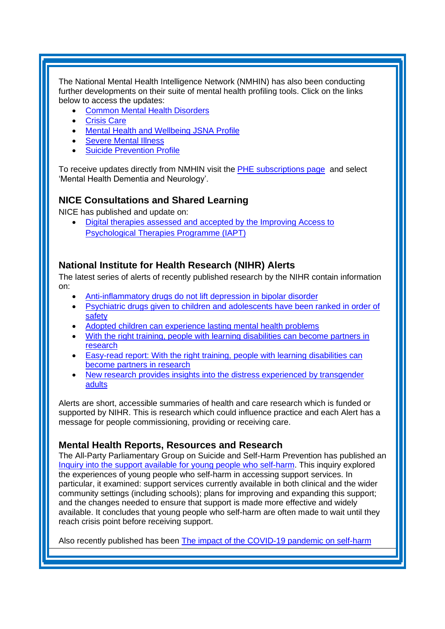The National Mental Health Intelligence Network (NMHIN) has also been conducting further developments on their suite of mental health profiling tools. Click on the links below to access the updates:

- [Common Mental Health Disorders](http://links.govdelivery.com/track?type=click&enid=ZWFzPTEmbXNpZD0mYXVpZD0mbWFpbGluZ2lkPTIwMTcxMjA1LjgxOTE2MDgxJm1lc3NhZ2VpZD1NREItUFJELUJVTC0yMDE3MTIwNS44MTkxNjA4MSZkYXRhYmFzZWlkPTEwMDEmc2VyaWFsPTE2OTcwMTE4JmVtYWlsaWQ9c2FyYWguYm91bEBuaHMubmV0JnVzZXJpZD1zYXJhaC5ib3VsQG5ocy5uZXQmdGFyZ2V0aWQ9JmZsPSZleHRyYT1NdWx0aXZhcmlhdGVJZD0mJiY=&&&104&&&https://fingertips.phe.org.uk/profile-group/mental-health/profile/common-mental-disorders)
- **[Crisis Care](http://links.govdelivery.com/track?type=click&enid=ZWFzPTEmbXNpZD0mYXVpZD0mbWFpbGluZ2lkPTIwMTcxMjA1LjgxOTE2MDgxJm1lc3NhZ2VpZD1NREItUFJELUJVTC0yMDE3MTIwNS44MTkxNjA4MSZkYXRhYmFzZWlkPTEwMDEmc2VyaWFsPTE2OTcwMTE4JmVtYWlsaWQ9c2FyYWguYm91bEBuaHMubmV0JnVzZXJpZD1zYXJhaC5ib3VsQG5ocy5uZXQmdGFyZ2V0aWQ9JmZsPSZleHRyYT1NdWx0aXZhcmlhdGVJZD0mJiY=&&&105&&&https://fingertips.phe.org.uk/profile-group/mental-health/profile/crisis-care)**
- Mental Health [and Wellbeing JSNA Profile](http://links.govdelivery.com/track?type=click&enid=ZWFzPTEmbXNpZD0mYXVpZD0mbWFpbGluZ2lkPTIwMTcxMjA1LjgxOTE2MDgxJm1lc3NhZ2VpZD1NREItUFJELUJVTC0yMDE3MTIwNS44MTkxNjA4MSZkYXRhYmFzZWlkPTEwMDEmc2VyaWFsPTE2OTcwMTE4JmVtYWlsaWQ9c2FyYWguYm91bEBuaHMubmV0JnVzZXJpZD1zYXJhaC5ib3VsQG5ocy5uZXQmdGFyZ2V0aWQ9JmZsPSZleHRyYT1NdWx0aXZhcmlhdGVJZD0mJiY=&&&106&&&https://fingertips.phe.org.uk/profile-group/mental-health/profile/mh-jsna)
- [Severe Mental](http://links.govdelivery.com/track?type=click&enid=ZWFzPTEmbXNpZD0mYXVpZD0mbWFpbGluZ2lkPTIwMTcxMjA1LjgxOTE2MDgxJm1lc3NhZ2VpZD1NREItUFJELUJVTC0yMDE3MTIwNS44MTkxNjA4MSZkYXRhYmFzZWlkPTEwMDEmc2VyaWFsPTE2OTcwMTE4JmVtYWlsaWQ9c2FyYWguYm91bEBuaHMubmV0JnVzZXJpZD1zYXJhaC5ib3VsQG5ocy5uZXQmdGFyZ2V0aWQ9JmZsPSZleHRyYT1NdWx0aXZhcmlhdGVJZD0mJiY=&&&108&&&https://fingertips.phe.org.uk/profile-group/mental-health/profile/severe-mental-illness) Illness
- **[Suicide Prevention Profile](http://links.govdelivery.com/track?type=click&enid=ZWFzPTEmbXNpZD0mYXVpZD0mbWFpbGluZ2lkPTIwMTgwNjA1LjkwNzEwNzExJm1lc3NhZ2VpZD1NREItUFJELUJVTC0yMDE4MDYwNS45MDcxMDcxMSZkYXRhYmFzZWlkPTEwMDEmc2VyaWFsPTE3MDEzODU4JmVtYWlsaWQ9c2FyYWguYm91bEBuaHMubmV0JnVzZXJpZD1zYXJhaC5ib3VsQG5ocy5uZXQmdGFyZ2V0aWQ9JmZsPSZleHRyYT1NdWx0aXZhcmlhdGVJZD0mJiY=&&&104&&&https://fingertips.phe.org.uk/profile-group/mental-health/profile/suicide)**

To receive updates directly from NMHIN visit the [PHE subscriptions page](http://links.govdelivery.com/track?type=click&enid=ZWFzPTEmbXNpZD0mYXVpZD0mbWFpbGluZ2lkPTIwMTgwMjA3Ljg0OTY1MzgxJm1lc3NhZ2VpZD1NREItUFJELUJVTC0yMDE4MDIwNy44NDk2NTM4MSZkYXRhYmFzZWlkPTEwMDEmc2VyaWFsPTE2OTgzNDk5JmVtYWlsaWQ9c2FyYWguYm91bEBuaHMubmV0JnVzZXJpZD1zYXJhaC5ib3VsQG5ocy5uZXQmdGFyZ2V0aWQ9JmZsPSZleHRyYT1NdWx0aXZhcmlhdGVJZD0mJiY=&&&107&&&https://public.govdelivery.com/accounts/UKHPA/subscribers/new?preferences=true) and select 'Mental Health Dementia and Neurology'.

## <span id="page-4-1"></span><span id="page-4-0"></span>**NICE Consultations and Shared Learning**

NICE has published and update on:

• [Digital therapies assessed and accepted by the Improving Access to](https://www.nice.org.uk/about/what-we-do/our-programmes/nice-advice/improving-access-to-psychological-therapies--iapt-/submitting-a-product-to-iapt)  [Psychological Therapies Programme \(IAPT\)](https://www.nice.org.uk/about/what-we-do/our-programmes/nice-advice/improving-access-to-psychological-therapies--iapt-/submitting-a-product-to-iapt)

## **National Institute for Health Research (NIHR) Alerts**

The latest series of alerts of recently published research by the NIHR contain information on:

- [Anti-inflammatory drugs do not lift depression in bipolar disorder](https://nihr.us14.list-manage.com/track/click?u=299dc02111e8a68172029095f&id=7463e50ea9&e=219cc58ea4)
- [Psychiatric drugs given to children and adolescents have been ranked in order of](https://nihr.us14.list-manage.com/track/click?u=299dc02111e8a68172029095f&id=23c688701a&e=219cc58ea4)  [safety](https://nihr.us14.list-manage.com/track/click?u=299dc02111e8a68172029095f&id=23c688701a&e=219cc58ea4)
- [Adopted children can experience lasting mental health problems](https://nihr.us14.list-manage.com/track/click?u=299dc02111e8a68172029095f&id=32ebebe1c9&e=219cc58ea4)
- With the right training, people with [learning disabilities can become partners in](https://nihr.us14.list-manage.com/track/click?u=299dc02111e8a68172029095f&id=3dbd612171&e=219cc58ea4)  [research](https://nihr.us14.list-manage.com/track/click?u=299dc02111e8a68172029095f&id=3dbd612171&e=219cc58ea4)
- [Easy-read report: With the right training, people with learning disabilities can](https://nihr.us14.list-manage.com/track/click?u=299dc02111e8a68172029095f&id=aa0153d583&e=219cc58ea4)  [become partners in research](https://nihr.us14.list-manage.com/track/click?u=299dc02111e8a68172029095f&id=aa0153d583&e=219cc58ea4)
- New research provides insights into the distress experienced by transgender [adults](https://nihr.us14.list-manage.com/track/click?u=299dc02111e8a68172029095f&id=c32334d82f&e=219cc58ea4)

Alerts are short, accessible summaries of health and care research which is funded or supported by NIHR. This is research which could influence practice and each Alert has a message for people commissioning, providing or receiving care.

## <span id="page-4-2"></span>**Mental Health Reports, Resources and Research**

The All-Party Parliamentary Group on Suicide and Self-Harm Prevention has published an [Inquiry into the support available for young people who self-harm.](https://media.samaritans.org/documents/APPG_inquiry_full_report.pdf?utm_source=The%20King%27s%20Fund%20newsletters%20%28main%20account%29&utm_medium=email&utm_campaign=11859096_NEWSL_HMP%202020-10-02&dm_i=21A8,726JC,FLWT3F,SIROV,1) This inquiry explored the experiences of young people who self-harm in accessing support services. In particular, it examined: support services currently available in both clinical and the wider community settings (including schools); plans for improving and expanding this support; and the changes needed to ensure that support is made more effective and widely available. It concludes that young people who self-harm are often made to wait until they reach crisis point before receiving support.

Also recently published has been [The impact of the COVID-19 pandemic on self-harm](https://f1000research.com/articles/9-1097/v1)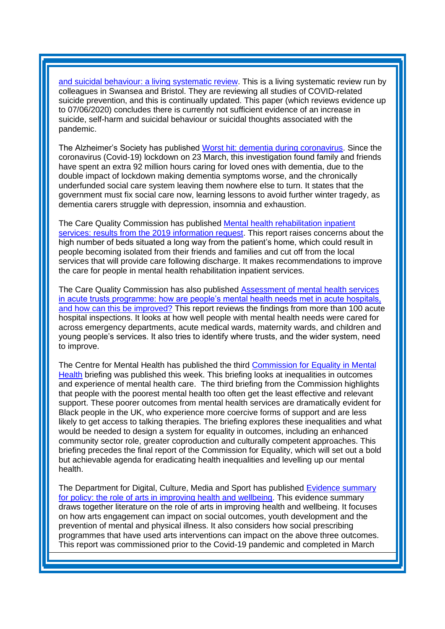[and suicidal behaviour: a living systematic review.](https://f1000research.com/articles/9-1097/v1) This is a living systematic review run by colleagues in Swansea and Bristol. They are reviewing all studies of COVID-related suicide prevention, and this is continually updated. This paper (which reviews evidence up to 07/06/2020) concludes there is currently not sufficient evidence of an increase in suicide, self-harm and suicidal behaviour or suicidal thoughts associated with the pandemic.

The Alzheimer's Society has published [Worst hit: dementia during coronavirus.](https://www.alzheimers.org.uk/sites/default/files/2020-09/Worst-hit-Dementia-during-coronavirus-report.pdf?utm_source=The%20King%27s%20Fund%20newsletters%20%28main%20account%29&utm_medium=email&utm_campaign=11848312_NEWSL_HMP%202020-09-29&dm_i=21A8,71Y7S,FLWT3F,SI4WW,1) Since the coronavirus (Covid-19) lockdown on 23 March, this investigation found family and friends have spent an extra 92 million hours caring for loved ones with dementia, due to the double impact of lockdown making dementia symptoms worse, and the chronically underfunded social care system leaving them nowhere else to turn. It states that the government must fix social care now, learning lessons to avoid further winter tragedy, as dementia carers struggle with depression, insomnia and exhaustion.

The Care Quality Commission has published [Mental health rehabilitation inpatient](https://www.cqc.org.uk/sites/default/files/20201016_MH-rehab_report.pdf?utm_source=The%20King%27s%20Fund%20newsletters%20%28main%20account%29&utm_medium=email&utm_campaign=11901608_NEWSL_HMP%202020-10-20&dm_i=21A8,733C8,FLWT3F,SMZLV,1)  [services: results from the 2019 information request.](https://www.cqc.org.uk/sites/default/files/20201016_MH-rehab_report.pdf?utm_source=The%20King%27s%20Fund%20newsletters%20%28main%20account%29&utm_medium=email&utm_campaign=11901608_NEWSL_HMP%202020-10-20&dm_i=21A8,733C8,FLWT3F,SMZLV,1) This report raises concerns about the high number of beds situated a long way from the patient's home, which could result in people becoming isolated from their friends and families and cut off from the local services that will provide care following discharge. It makes recommendations to improve the care for people in mental health rehabilitation inpatient services.

The Care Quality Commission has also published [Assessment of mental health services](https://www.cqc.org.uk/sites/default/files/20201016b_AMSAT_report.pdf?utm_source=The%20King%27s%20Fund%20newsletters%20%28main%20account%29&utm_medium=email&utm_campaign=11901608_NEWSL_HMP%202020-10-20&dm_i=21A8,733C8,FLWT3F,SMZLV,1)  [in acute trusts programme: how are people's mental health needs met in acute hospitals,](https://www.cqc.org.uk/sites/default/files/20201016b_AMSAT_report.pdf?utm_source=The%20King%27s%20Fund%20newsletters%20%28main%20account%29&utm_medium=email&utm_campaign=11901608_NEWSL_HMP%202020-10-20&dm_i=21A8,733C8,FLWT3F,SMZLV,1)  [and how can this be improved?](https://www.cqc.org.uk/sites/default/files/20201016b_AMSAT_report.pdf?utm_source=The%20King%27s%20Fund%20newsletters%20%28main%20account%29&utm_medium=email&utm_campaign=11901608_NEWSL_HMP%202020-10-20&dm_i=21A8,733C8,FLWT3F,SMZLV,1) This report reviews the findings from more than 100 acute hospital inspections. It looks at how well people with mental health needs were cared for across emergency departments, acute medical wards, maternity wards, and children and young people's services. It also tries to identify where trusts, and the wider system, need to improve.

The Centre for Mental Health has published the third [Commission for Equality in](https://eur01.safelinks.protection.outlook.com/?url=https%3A%2F%2Fwww.centreformentalhealth.org.uk%2Fcommission-equality-mental-health&data=04%7C01%7CAndrina.Stanislawski%40phe.gov.uk%7C512226f801824a004dac08d874fa5ec2%7Cee4e14994a354b2ead475f3cf9de8666%7C0%7C0%7C637387965963363452%7CUnknown%7CTWFpbGZsb3d8eyJWIjoiMC4wLjAwMDAiLCJQIjoiV2luMzIiLCJBTiI6Ik1haWwiLCJXVCI6Mn0%3D%7C1000&sdata=WAMdLvtz5JeNcSY8w3F6X1PDaFeOWZZrEXZbImQ87m8%3D&reserved=0) Mental [Health](https://eur01.safelinks.protection.outlook.com/?url=https%3A%2F%2Fwww.centreformentalhealth.org.uk%2Fcommission-equality-mental-health&data=04%7C01%7CAndrina.Stanislawski%40phe.gov.uk%7C512226f801824a004dac08d874fa5ec2%7Cee4e14994a354b2ead475f3cf9de8666%7C0%7C0%7C637387965963363452%7CUnknown%7CTWFpbGZsb3d8eyJWIjoiMC4wLjAwMDAiLCJQIjoiV2luMzIiLCJBTiI6Ik1haWwiLCJXVCI6Mn0%3D%7C1000&sdata=WAMdLvtz5JeNcSY8w3F6X1PDaFeOWZZrEXZbImQ87m8%3D&reserved=0) briefing was published this week. This briefing looks at inequalities in outcomes and experience of mental health care. The third briefing from the Commission highlights that people with the poorest mental health too often get the least effective and relevant support. These poorer outcomes from mental health services are dramatically evident for Black people in the UK, who experience more coercive forms of support and are less likely to get access to talking therapies. The briefing explores these inequalities and what would be needed to design a system for equality in outcomes, including an enhanced community sector role, greater coproduction and culturally competent approaches. This briefing precedes the final report of the Commission for Equality, which will set out a bold but achievable agenda for eradicating health inequalities and levelling up our mental health.

The Department for Digital, Culture, Media and Sport has published [Evidence summary](https://assets.publishing.service.gov.uk/government/uploads/system/uploads/attachment_data/file/918253/The_role_of_arts_in_improving_health_and_wellbeing.pdf?utm_source=The%20King%27s%20Fund%20newsletters%20%28main%20account%29&utm_medium=email&utm_campaign=11824179_NEWSL_HWB_2020-09-28&dm_i=21A8,71FLF,FLWT3F,SF9I6,1)  [for policy: the role of arts in improving health and wellbeing.](https://assets.publishing.service.gov.uk/government/uploads/system/uploads/attachment_data/file/918253/The_role_of_arts_in_improving_health_and_wellbeing.pdf?utm_source=The%20King%27s%20Fund%20newsletters%20%28main%20account%29&utm_medium=email&utm_campaign=11824179_NEWSL_HWB_2020-09-28&dm_i=21A8,71FLF,FLWT3F,SF9I6,1) This evidence summary draws together literature on the role of arts in improving health and wellbeing. It focuses on how arts engagement can impact on social outcomes, youth development and the prevention of mental and physical illness. It also considers how social prescribing programmes that have used arts interventions can impact on the above three outcomes. This report was commissioned prior to the Covid-19 pandemic and completed in March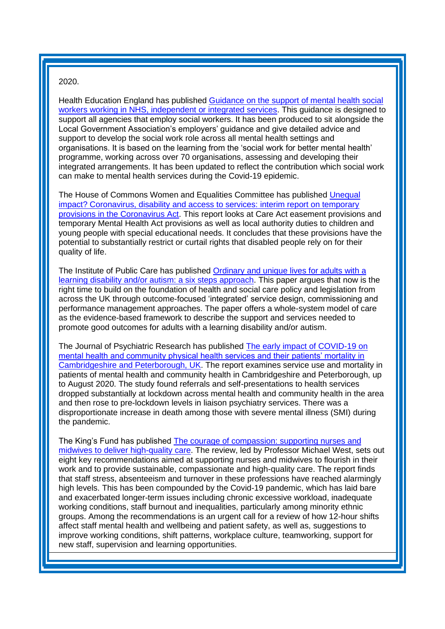#### 2020.

Health Education England has published [Guidance on the support of mental health social](https://www.hee.nhs.uk/sites/default/files/documents/Guidance%20on%20the%20support%20of%20mental%20health%20support%20workers.pdf?utm_source=The%20King%27s%20Fund%20newsletters%20%28main%20account%29&utm_medium=email&utm_campaign=11872143_NEWSL_ICB%202020-10-14&dm_i=21A8,72GLR,FLWT3F,SM9MC,1)  [workers working in NHS, independent or integrated services.](https://www.hee.nhs.uk/sites/default/files/documents/Guidance%20on%20the%20support%20of%20mental%20health%20support%20workers.pdf?utm_source=The%20King%27s%20Fund%20newsletters%20%28main%20account%29&utm_medium=email&utm_campaign=11872143_NEWSL_ICB%202020-10-14&dm_i=21A8,72GLR,FLWT3F,SM9MC,1) This guidance is designed to support all agencies that employ social workers. It has been produced to sit alongside the Local Government Association's employers' guidance and give detailed advice and support to develop the social work role across all mental health settings and organisations. It is based on the learning from the 'social work for better mental health' programme, working across over 70 organisations, assessing and developing their integrated arrangements. It has been updated to reflect the contribution which social work can make to mental health services during the Covid-19 epidemic.

The House of Commons Women and Equalities Committee has published [Unequal](https://committees.parliament.uk/publications/2710/documents/27010/default/?utm_source=The%20King%27s%20Fund%20newsletters%20%28main%20account%29&utm_medium=email&utm_campaign=11848312_NEWSL_HMP%202020-09-29&dm_i=21A8,71Y7S,FLWT3F,SHAEW,1)  [impact? Coronavirus, disability and access to services: interim report on temporary](https://committees.parliament.uk/publications/2710/documents/27010/default/?utm_source=The%20King%27s%20Fund%20newsletters%20%28main%20account%29&utm_medium=email&utm_campaign=11848312_NEWSL_HMP%202020-09-29&dm_i=21A8,71Y7S,FLWT3F,SHAEW,1)  [provisions in the Coronavirus Act.](https://committees.parliament.uk/publications/2710/documents/27010/default/?utm_source=The%20King%27s%20Fund%20newsletters%20%28main%20account%29&utm_medium=email&utm_campaign=11848312_NEWSL_HMP%202020-09-29&dm_i=21A8,71Y7S,FLWT3F,SHAEW,1) This report looks at Care Act easement provisions and temporary Mental Health Act provisions as well as local authority duties to children and young people with special educational needs. It concludes that these provisions have the potential to substantially restrict or curtail rights that disabled people rely on for their quality of life.

The Institute of Public Care has published [Ordinary and unique lives for adults with a](https://ipc.brookes.ac.uk/publications/Ordinary%20and%20unique%20lives%20-%20a%20six%20steps%20approach.pdf?utm_source=The%20King%27s%20Fund%20newsletters%20%28main%20account%29&utm_medium=email&utm_campaign=11848312_NEWSL_HMP%202020-09-29&dm_i=21A8,71Y7S,FLWT3F,SHBDE,1)  [learning disability and/or autism: a six steps approach.](https://ipc.brookes.ac.uk/publications/Ordinary%20and%20unique%20lives%20-%20a%20six%20steps%20approach.pdf?utm_source=The%20King%27s%20Fund%20newsletters%20%28main%20account%29&utm_medium=email&utm_campaign=11848312_NEWSL_HMP%202020-09-29&dm_i=21A8,71Y7S,FLWT3F,SHBDE,1) This paper argues that now is the right time to build on the foundation of health and social care policy and legislation from across the UK through outcome-focused 'integrated' service design, commissioning and performance management approaches. The paper offers a whole-system model of care as the evidence-based framework to describe the support and services needed to promote good outcomes for adults with a learning disability and/or autism.

The Journal of Psychiatric Research has published [The early impact of COVID-19 on](https://www.sciencedirect.com/science/article/pii/S0022395620309845?via%3Dihub)  [mental health and community physical health services and their patients' mortality in](https://www.sciencedirect.com/science/article/pii/S0022395620309845?via%3Dihub)  [Cambridgeshire and Peterborough, UK.](https://www.sciencedirect.com/science/article/pii/S0022395620309845?via%3Dihub) The report examines service use and mortality in patients of mental health and community health in Cambridgeshire and Peterborough, up to August 2020. The study found referrals and self-presentations to health services dropped substantially at lockdown across mental health and community health in the area and then rose to pre-lockdown levels in liaison psychiatry services. There was a disproportionate increase in death among those with severe mental illness (SMI) during the pandemic.

The King's Fund has published [The courage of compassion: supporting nurses and](https://www.kingsfund.org.uk/publications/courage-compassion-supporting-nurses-midwives?utm_source=The%20King%27s%20Fund%20newsletters%20%28main%20account%29&utm_medium=email&utm_campaign=11843100_MKPUB_RCNF%20report%202020-09-23&utm_content=report%20link&dm_i=21A8,71U70,FLWT3F,SGGPY,1)  [midwives to deliver high-quality care.](https://www.kingsfund.org.uk/publications/courage-compassion-supporting-nurses-midwives?utm_source=The%20King%27s%20Fund%20newsletters%20%28main%20account%29&utm_medium=email&utm_campaign=11843100_MKPUB_RCNF%20report%202020-09-23&utm_content=report%20link&dm_i=21A8,71U70,FLWT3F,SGGPY,1) The review, led by Professor Michael West, sets out eight key recommendations aimed at supporting nurses and midwives to flourish in their work and to provide sustainable, compassionate and high-quality care. The report finds that staff stress, absenteeism and turnover in these professions have reached alarmingly high levels. This has been compounded by the Covid-19 pandemic, which has laid bare and exacerbated longer-term issues including chronic excessive workload, inadequate working conditions, staff burnout and inequalities, particularly among minority ethnic groups. Among the recommendations is an urgent call for a review of how 12-hour shifts affect staff mental health and wellbeing and patient safety, as well as, suggestions to improve working conditions, shift patterns, workplace culture, teamworking, support for new staff, supervision and learning opportunities.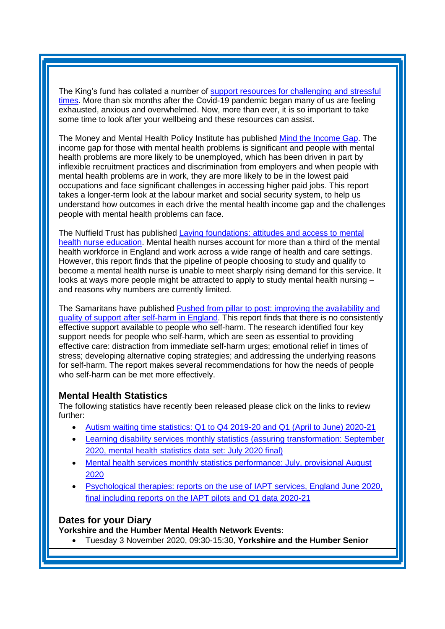The King's fund has collated a number of [support resources for challenging and stressful](https://www.kingsfund.org.uk/projects/leading-through-covid-19?utm_source=The%20King%27s%20Fund%20newsletters%20%28main%20account%29&utm_medium=email&utm_campaign=11850894_NEWSL_The%20Weekly%20Update%202020-09-25&utm_content=leading_through_covid&dm_i=21A8,7207I,FLWT3F,SHAAO,1)  [times.](https://www.kingsfund.org.uk/projects/leading-through-covid-19?utm_source=The%20King%27s%20Fund%20newsletters%20%28main%20account%29&utm_medium=email&utm_campaign=11850894_NEWSL_The%20Weekly%20Update%202020-09-25&utm_content=leading_through_covid&dm_i=21A8,7207I,FLWT3F,SHAAO,1) More than six months after the Covid-19 pandemic began many of us are feeling exhausted, anxious and overwhelmed. Now, more than ever, it is so important to take some time to look after your wellbeing and these resources can assist.

The Money and Mental Health Policy Institute has published [Mind the Income Gap.](https://www.moneyandmentalhealth.org/wp-content/uploads/2020/09/Mind-the-income-gap.pdf) The income gap for those with mental health problems is significant and people with mental health problems are more likely to be unemployed, which has been driven in part by inflexible recruitment practices and discrimination from employers and when people with mental health problems are in work, they are more likely to be in the lowest paid occupations and face significant challenges in accessing higher paid jobs. This report takes a longer-term look at the labour market and social security system, to help us understand how outcomes in each drive the mental health income gap and the challenges people with mental health problems can face.

The Nuffield Trust has published [Laying foundations: attitudes and access to mental](https://www.nuffieldtrust.org.uk/files/2020-10/laying-foundations-web.pdf?utm_source=The%20King%27s%20Fund%20newsletters%20%28main%20account%29&utm_medium=email&utm_campaign=11876401_NEWSL_HMP%202020-10-09&dm_i=21A8,72JW1,FLWT3F,SKN3Y,1)  [health nurse education.](https://www.nuffieldtrust.org.uk/files/2020-10/laying-foundations-web.pdf?utm_source=The%20King%27s%20Fund%20newsletters%20%28main%20account%29&utm_medium=email&utm_campaign=11876401_NEWSL_HMP%202020-10-09&dm_i=21A8,72JW1,FLWT3F,SKN3Y,1) Mental health nurses account for more than a third of the mental health workforce in England and work across a wide range of health and care settings. However, this report finds that the pipeline of people choosing to study and qualify to become a mental health nurse is unable to meet sharply rising demand for this service. It looks at ways more people might be attracted to apply to study mental health nursing – and reasons why numbers are currently limited.

The Samaritans have published [Pushed from pillar to post: improving the availability and](https://media.samaritans.org/documents/Samaritans_-_Pushed_from_pillar_to_post_web.pdf?utm_source=The%20King%27s%20Fund%20newsletters%20%28main%20account%29&utm_medium=email&utm_campaign=11882962_NEWSL_HMP%202020-10-13&dm_i=21A8,72OYA,FLWT3F,SKO8B,1)  [quality of support after self-harm in England.](https://media.samaritans.org/documents/Samaritans_-_Pushed_from_pillar_to_post_web.pdf?utm_source=The%20King%27s%20Fund%20newsletters%20%28main%20account%29&utm_medium=email&utm_campaign=11882962_NEWSL_HMP%202020-10-13&dm_i=21A8,72OYA,FLWT3F,SKO8B,1) This report finds that there is no consistently effective support available to people who self-harm. The research identified four key support needs for people who self-harm, which are seen as essential to providing effective care: distraction from immediate self-harm urges; emotional relief in times of stress; developing alternative coping strategies; and addressing the underlying reasons for self-harm. The report makes several recommendations for how the needs of people who self-harm can be met more effectively.

#### <span id="page-7-0"></span>**Mental Health Statistics**

The following statistics have recently been released please click on the links to review further:

- Autism [waiting time statistics: Q1 to Q4 2019-20 and Q1 \(April to June\) 2020-21](https://kingsfundmail.org.uk/21A8-711VR-FLWT3F-46PRMU-1/c.aspx)
- [Learning disability services monthly statistics \(assuring transformation: September](https://kingsfundmail.org.uk/21A8-72UY5-FLWT3F-487XUR-1/c.aspx)  2020, mental health [statistics data set: July 2020 final\)](https://kingsfundmail.org.uk/21A8-72UY5-FLWT3F-487XUR-1/c.aspx)
- Mental health services monthly statistics performance: July, provisional August [2020](https://kingsfundmail.org.uk/21A8-72JW1-FLWT3F-47WYEL-1/c.aspx)
- [Psychological therapies: reports on the use of IAPT services, England June 2020,](https://kingsfundmail.org.uk/21A8-711VR-FLWT3F-46PSKE-1/c.aspx)  [final including reports on the IAPT pilots and Q1 data 2020-21](https://kingsfundmail.org.uk/21A8-711VR-FLWT3F-46PSKE-1/c.aspx)

#### <span id="page-7-1"></span>**Dates for your Diary**

**Yorkshire and the Humber Mental Health Network Events:**

• Tuesday 3 November 2020, 09:30-15:30, **Yorkshire and the Humber Senior**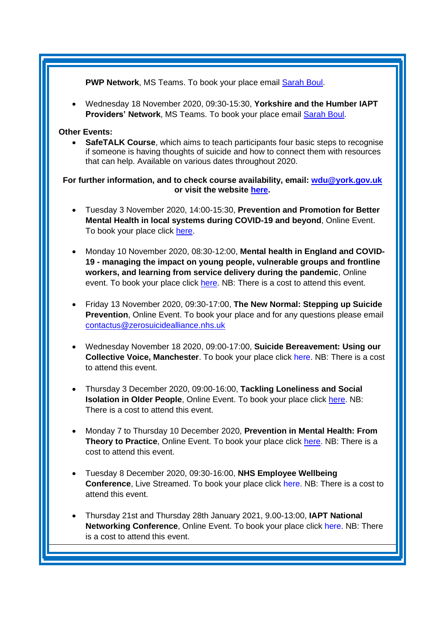**PWP Network**, MS Teams. To book your place email [Sarah Boul.](mailto:sarah.boul@nhs.net)

• Wednesday 18 November 2020, 09:30-15:30, **Yorkshire and the Humber IAPT Providers' Network**, MS Teams. To book your place email [Sarah Boul.](mailto:sarah.boul@nhs.net)

#### **Other Events:**

• **SafeTALK Course**, which aims to teach participants four basic steps to recognise if someone is having thoughts of suicide and how to connect them with resources that can help. Available on various dates throughout 2020.

**For further information, and to check course availability, email: [wdu@york.gov.uk](mailto:wdu@york.gov.uk) or visit the website [here.](http://www.yorkworkforcedevelopment.org.uk/)**

- Tuesday 3 November 2020, 14:00-15:30, **Prevention and Promotion for Better Mental Health in local systems during COVID-19 and beyond**, Online Event. To book your place click [here.](https://www.eventbrite.co.uk/e/prevention-promotion-for-better-mental-health-in-local-systems-covid-19-tickets-123479186571)
- Monday 10 November 2020, 08:30-12:00, **Mental health in England and COVID-19 - managing the impact on young people, vulnerable groups and frontline workers, and learning from service delivery during the pandemic**, Online event. To book your place click [here.](https://www.kingsfund.org.uk/events/personalising-digital-tools-people-learning-disabilities?utm_source=The%20King%27s%20Fund%20newsletters%20%28main%20account%29&utm_medium=email&utm_campaign=11773284_MKEVT_J1292_Personalising%20digital%20tools_HomeGroup_launch_270820&utm_content=free%20online%20event&dm_i=21A8,70CBO,FLWT3F,S91MQ,1) NB: There is a cost to attend this event.
- Friday 13 November 2020, 09:30-17:00, **The New Normal: Stepping up Suicide Prevention**, Online Event. To book your place and for any questions please email contactus@zerosuicidealliance.nhs.uk
- Wednesday November 18 2020, 09:00-17:00, **Suicide Bereavement: Using our Collective Voice, Manchester**. To book your place click [here.](https://suicidebereavementuk.com/suicide-bereavement-conference) NB: There is a cost to attend this event.
- Thursday 3 December 2020, 09:00-16:00, **Tackling Loneliness and Social Isolation in Older People**, Online Event. To book your place click [here.](https://localgov-insight.com/booking/3479/BLGDZO-1900096) NB: There is a cost to attend this event.
- Monday 7 to Thursday 10 December 2020, **Prevention in Mental Health: From Theory to Practice**, Online Event. To book your place click [here.](https://www.kingsfund.org.uk/events/prevention-mental-health?utm_source=The%20King%27s%20Fund%20newsletters%20%28main%20account%29&utm_medium=email&utm_campaign=11858934_MKEVT_J1344_Prevention%20in%20mental%20health_Soft_launch&utm_content=Find%20out%20more%20and%20register&dm_i=21A8,726EU,FLWT3F,SI5Q3,1) NB: There is a cost to attend this event.
- Tuesday 8 December 2020, 09:30-16:00, **NHS Employee Wellbeing Conference**, Live Streamed. To book your place click [here.](https://conference-insight.com/booking/3485/UQKIZO-1900096) NB: There is a cost to attend this event.
- Thursday 21st and Thursday 28th January 2021, 9.00-13:00, **IAPT National Networking Conference**, Online Event. To book your place click [here.](https://www.iapt-nnf.co.uk/booking/index/191/?utm_source=SBK%20Healthcare&utm_medium=email&utm_campaign=11875628_2021PT%201st%20email&dm_i=1SB0,72JAK,MCTTTA,SJWEF,1) NB: There is a cost to attend this event.